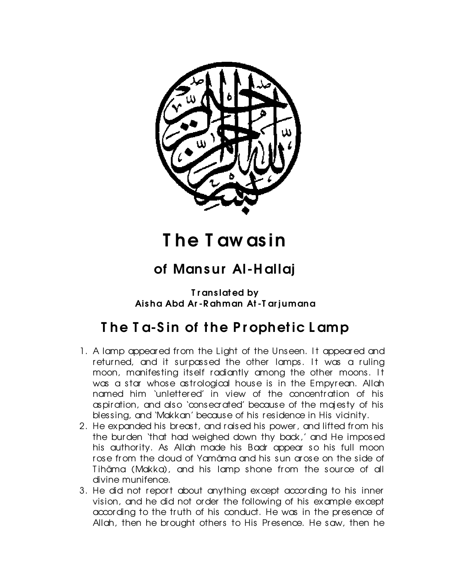

# T he T aw as in

#### of Mans ur Al-Hallaj

T r ans lat ed by Aisha Abd Ar -R ahman At -T ar jumana

# The Ta-Sin of the Prophetic Lamp

- 1. A lamp appeared from the Light of the Unseen. It appeared and returned, and it surpassed the other lamps. It was a ruling moon, manifesting itself radiantly among the other moons. It was a star whose astrological house is in the Empyrean. Allah named him 'unlettered' in view of the concentration of his aspiration, and also 'consecrated' because of the majesty of his blessing, and 'Makkan' because of his residence in His vicinity.
- 2. He expanded his breast, and raised his power, and lifted from his the burden 'that had weighed down thy back,' and He imposed his authority. As Allah made his Badr appear so his full moon rose from the cloud of Yamãma and his sun arose on the side of T ihãma (Makka), and his lamp shone from the source of all divine munifence.
- 3. He did not report about anything except according to his inner vision, and he did not order the following of his example except according to the truth of his conduct. He was in the presence of Allah, then he brought others to His Presence. He saw, then he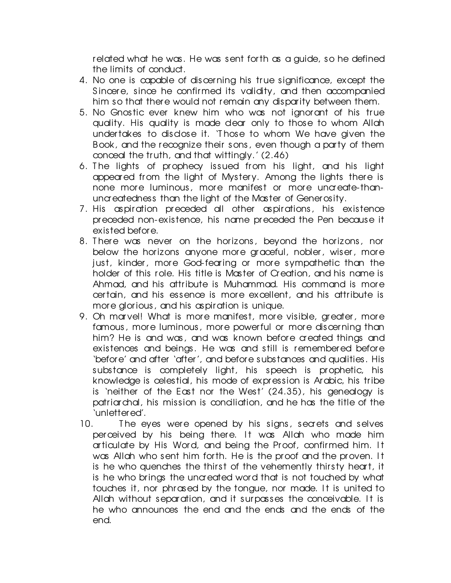related what he was. He was sent forth as a guide, so he defined the limits of conduct.

- 4. No one is capable of discerning his true significance, except the Sincere, since he confirmed its validity, and then accompanied him so that there would not remain any disparity between them.
- 5. No Gnostic ever knew him who was not ignorant of his true quality. His quality is made dear only to those to whom Allah undertakes to disclose it. 'T hose to whom We have given the Book, and the recognize their sons, even though a party of them conceal the truth, and that wittingly.' (2.46)
- 6. T he lights of prophecy issued from his light, and his light appeared from the light of Mystery. Among the lights there is none more luminous, more manifest or more uncreate-thanuncreatedness than the light of the Master of Generosity.
- 7. His aspiration preceded all other aspirations, his existence preceded non-existence, his name preceded the Pen because it existed before.
- 8. T here was never on the horizons, beyond the horizons, nor below the horizons anyone more graceful, nobler, wiser, more just, kinder, more God-fearing or more sympathetic than the holder of this role. His title is Master of Creation, and his name is Ahmad, and his attribute is Muhammad. His command is more certain, and his essence is more excellent, and his attribute is more glorious, and his aspiration is unique.
- 9. Oh marvel! What is more manifest, more visible, greater, more famous, more luminous, more powerful or more discerning than him? He is and was, and was known before created things and existences and beings. He was and still is remembered before 'before' and after 'after', and before substances and qualities. His substance is completely light, his speech is prophetic, his knowledge is celestial, his mode of expression is Arabic, his tribe is 'neither of the East nor the West' (24.35), his genealogy is patriarchal, his mission is conciliation, and he has the title of the 'unlettered'.
- 10. The eyes were opened by his signs, secrets and selves perceived by his being there. It was Allah who made him articulate by His Word, and being the Proof, confirmed him. It was Allah who sent him forth. He is the proof and the proven. It is he who quenches the thirst of the vehemently thirsty heart, it is he who brings the uncreated word that is not touched by what touches it, nor phrased by the tongue, nor made. It is united to Allah without separation, and it surpasses the conceivable. It is he who announces the end and the ends and the ends of the end.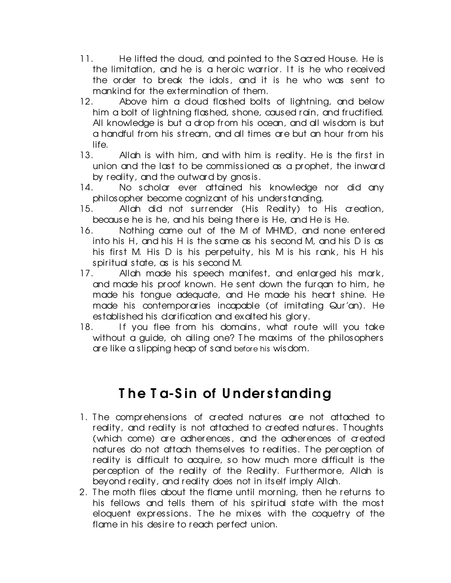- 11. He lifted the doud, and pointed to the S acred House. He is the limitation, and he is a heroic warrior. It is he who received the order to break the idols, and it is he who was sent to mankind for the extermination of them.
- 12. Above him a doud flashed bolts of lightning, and below him a bolt of lightning flashed, shone, caused rain, and fructified. All knowledge is but a drop from his ocean, and all wisdom is but a handful from his stream, and all times are but an hour from his life.
- 13. Allah is with him, and with him is reality. He is the first in union and the last to be commissioned as a prophet, the inward by reality, and the outward by gnosis.
- 14. No scholar ever attained his knowledge nor did any philosopher become cognizant of his understanding.
- 15. Allah did not surrender (His Reality) to His creation, because he is he, and his being there is He, and He is He.
- 16. Nothing came out of the M of MHMD, and none entered into his H, and his H is the same as his second M, and his D is as his first M. His D is his perpetuity, his M is his rank, his H his spiritual state, as is his second M.
- 17. Allah made his speech manifest, and enlarged his mark, and made his proof known. He sent down the furqan to him, he made his tongue adequate, and He made his heart shine. He made his contemporaries incapable (of imitating Qur'an). He established his clarification and exalted his glory.
- 18. If you flee from his domains, what route will you take without a guide, oh ailing one? The maxims of the philosophers are like a slipping heap of sand before his wisdom.

# The Ta-Sin of Understanding

- 1. The comprehensions of created natures are not attached to reality, and reality is not attached to created natures. T houghts (which come) are adherences, and the adherences of created natures do not attach themselves to realities. T he perception of reality is difficult to acquire, so how much more difficult is the perception of the reality of the Reality. Furthermore, Allah is beyond reality, and reality does not in itself imply Allah.
- 2. T he moth flies about the flame until morning, then he returns to his fellows and tells them of his spiritual state with the most eloquent expressions. T he he mixes with the coquetry of the flame in his desire to reach perfect union.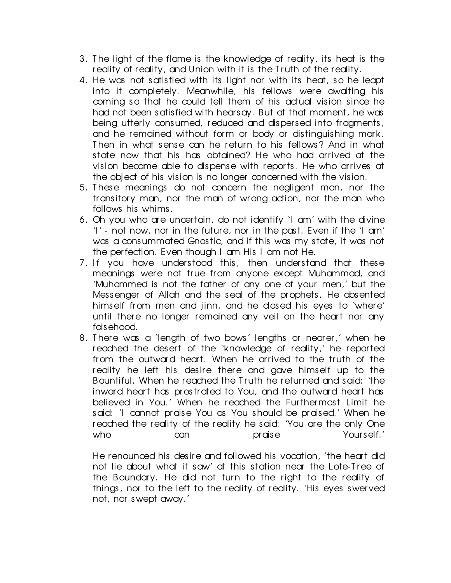- 3. T he light of the flame is the knowledge of reality, its heat is the reality of reality, and Union with it is the T ruth of the reality.
- 4. He was not satisfied with its light nor with its heat, so he leapt into it completely. Meanwhile, his fellows were awaiting his coming so that he could tell them of his actual vision since he had not been satisfied with hearsay. But at that moment, he was being utterly consumed, reduced and dispersed into fragments, and he remained without form or body or distinguishing mark. T hen in what sense can he return to his fellows? And in what state now that his has obtained? He who had arrived at the vision became able to dispense with reports. He who arrives at the object of his vision is no longer concerned with the vision.
- 5. T hese meanings do not concern the negligent man, nor the transitory man, nor the man of wrong action, nor the man who follows his whims.
- 6. Oh you who are uncertain, do not identify 'I am' with the divine 'I ' - not now, nor in the future, nor in the past. Even if the 'I am' was a consummated Gnostic, and if this was my state, it was not the perfection. Even though I am His I am not He.
- 7. If you have understood this, then understand that these meanings were not true from anyone except Muhammad, and 'Muhammed is not the father of any one of your men,' but the Messenger of Allah and the seal of the prophets. He absented himself from men and jinn, and he dosed his eyes to 'where' until there no longer remained any veil on the heart nor any falsehood.
- 8. T here was a 'length of two bows' lengths or nearer,' when he reached the desert of the 'knowledge of reality,' he reported from the outward heart. When he arrived to the truth of the reality he left his desire there and gave himself up to the Bountiful. When he reached the T ruth he returned and said: 'the inward heart has prostrated to You, and the outward heart has believed in You.' When he reached the Furthermost Limit he said: 'I cannot praise You as You should be praised.' When he reached the reality of the reality he said: 'You are the only One who can praise Yourself.'

He renounced his desire and followed his vocation, 'the heart did not lie about what it saw' at this station near the Lote- T ree of the Boundary. He did not turn to the right to the reality of things, nor to the left to the reality of reality. 'His eyes swerved not, nor swept away.'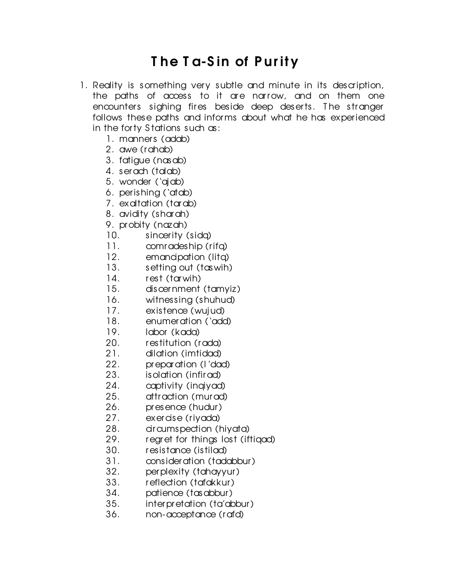### The Ta-Sin of Purity

- 1. Reality is something very subtle and minute in its description, the paths of access to it are narrow, and on them one encounters sighing fires beside deep deserts. T he stranger follows these paths and informs about what he has experienced in the forty S tations such as:
	- 1. manners (adab)
	- 2. awe (rahab)
	- 3. fatigue (nasab)
	- 4. serach (talab)
	- 5. wonder ('ajab)
	- 6. perishing ('atab)
	- 7. exaltation (tarab)
	- 8. avidity (sharah)
	- 9. probity (nazah)
	- 10. sincerity (sidq)
	- 11. comradeship (rifq)
	- 12. emancipation (litq)
	- 13. setting out (taswih)
	- 14. rest (tarwih)
	- 15. discernment (tamyiz)
	- 16. witnessing (shuhud)
	- 17. existence (wujud)
	- 18. enumeration ('add)
	- 19. labor (kada)
	- 20. restitution (rada)
	- 21. dilation (imtidad)
	- 22. preparation (I 'dad)
	- 23. isolation (infirad)
	- 24. captivity (inqiyad)
	- 25. attraction (murad)
	- 26. presence (hudur)
	- 27. exercise (riyada)
	- 28. circumspection (hiyata)
	- 29. regret for things lost (iftiqad)
	- 30. resistance (istilad)
	- 31. consideration (tadabbur)
	- 32. perplexity (tahayyur)
	- 33. reflection (tafakkur)
	- 34. patience (tasabbur)
	- 35. interpretation (ta'abbur)
	- 36. non-acceptance (rafd)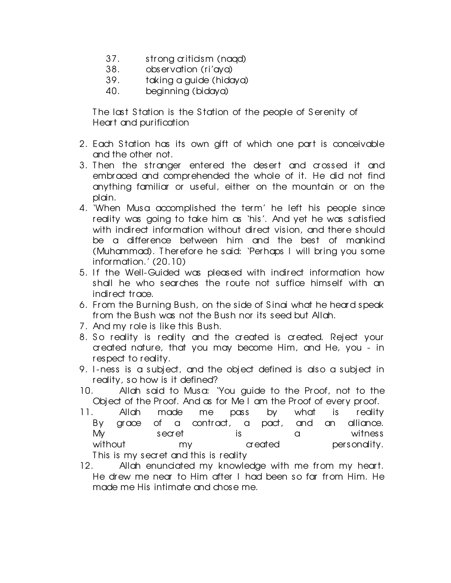- 37. strong criticism (naqd)
- 38. observation (ri'aya)
- 39. taking a guide (hidaya)
- 40. beginning (bidaya)

The last Station is the Station of the people of Serenity of Heart and purification

- 2. Each Station has its own gift of which one part is conceivable and the other not.
- 3. Then the stranger entered the desert and crossed it and embraced and comprehended the whole of it. He did not find anything familiar or useful, either on the mountain or on the plain.
- 4. 'When Musa accomplished the term' he left his people since reality was going to take him as 'his'. And yet he was satisfied with indirect information without direct vision, and there should be a difference between him and the best of mankind (Muhammad). T herefore he said: 'Perhaps I will bring you some information.' (20.10)
- 5. If the Well-Guided was pleased with indirect information how shall he who searches the route not suffice himself with an indirect trace.
- 6. From the Burning Bush, on the side of S inai what he heard speak from the Bush was not the Bush nor its seed but Allah.
- 7. And my role is like this Bush.
- 8. So reality is reality and the created is created. Reject your created nature, that you may become Him, and He, you - in respect to reality.
- 9. I-ness is a subject, and the object defined is also a subject in reality, so how is it defined?
- 10. Allah said to Musa: 'You guide to the Proof, not to the Object of the Proof. And as for Me I am the Proof of every proof.
- 11. Allah made me pass by what is reality By grace of a contract, a pact, and an alliance. My secret is a witness without my created personality. T his is my secret and this is reality
- 12. Allah enunciated my knowledge with me from my heart. He drew me near to Him after I had been so far from Him. He made me His intimate and chose me.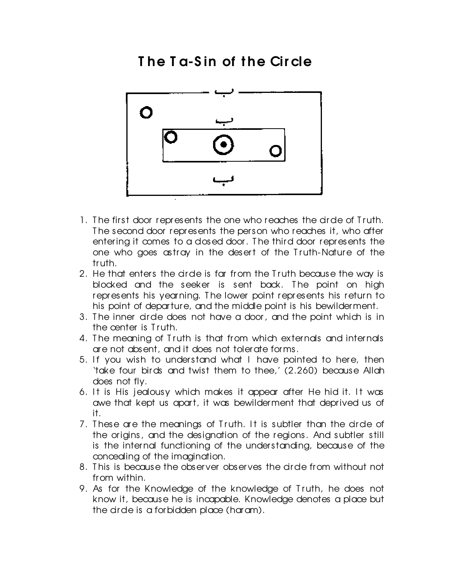#### The Ta-Sin of the Circle



- 1. The first door represents the one who reaches the circle of Truth. T he second door represents the person who reaches it, who after entering it comes to a dosed door. The third door represents the one who goes astray in the desert of the T ruth-Nature of the truth.
- 2. He that enters the circle is far from the Truth because the way is blocked and the seeker is sent back. The point on high represents his yearning. T he lower point represents his return to his point of departure, and the middle point is his bewilderment.
- 3. T he inner circle does not have a door, and the point which is in the center is Truth.
- 4. The meaning of Truth is that from which externals and internals are not absent, and it does not tolerate forms.
- 5. If you wish to understand what I have pointed to here, then 'take four birds and twist them to thee,' (2.260) because Allah does not fly.
- 6. It is His jealousy which makes it appear after He hid it. It was awe that kept us apart, it was bewilderment that deprived us of it.
- 7. These are the meanings of Truth. It is subtler than the circle of the origins, and the designation of the regions. And subtler still is the internal functioning of the understanding, because of the concealing of the imagination.
- 8. This is because the observer observes the circle from without not from within.
- 9. As for the Knowledge of the knowledge of Truth, he does not know it, because he is incapable. Knowledge denotes a place but the circle is a forbidden place (haram).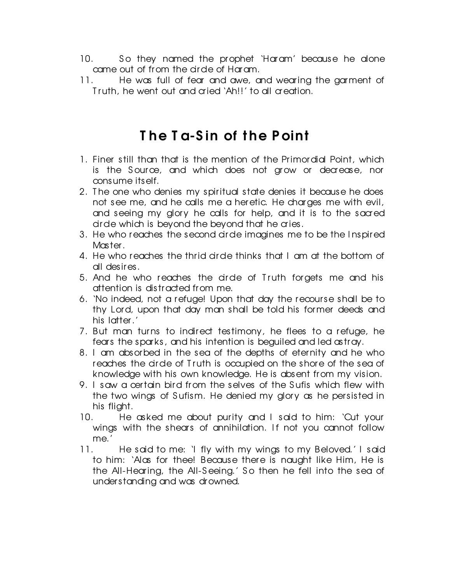- 10. So they named the prophet 'Haram' because he alone came out of from the circle of Haram.
- 11. He was full of fear and awe, and wearing the garment of T ruth, he went out and cried 'Ah!!' to all creation.

#### T he T a-S in of t he P oint

- 1. Finer still than that is the mention of the Primordial Point, which is the S ource, and which does not grow or decrease, nor consume itself.
- 2. T he one who denies my spiritual state denies it because he does not see me, and he calls me a heretic. He charges me with evil, and seeing my glory he calls for help, and it is to the sacred circle which is beyond the beyond that he cries.
- 3. He who reaches the second circle imagines me to be the Inspired Master.
- 4. He who reaches the thrid circle thinks that I am at the bottom of all desires.
- 5. And he who reaches the circle of Truth forgets me and his attention is distracted from me.
- 6. 'No indeed, not a refuge! Upon that day the recourse shall be to thy Lord, upon that day man shall be told his former deeds and his latter.'
- 7. But man turns to indirect testimony, he flees to a refuge, he fears the spar ks, and his intention is beguiled and led astray.
- 8. I am absorbed in the sea of the depths of eternity and he who reaches the circle of T ruth is occupied on the shore of the sea of knowledge with his own knowledge. He is absent from my vision.
- 9. I saw a certain bird from the selves of the S ufis which flew with the two wings of Sufism. He denied my glory as he persisted in his flight.
- 10. He asked me about purity and I said to him: 'Cut your wings with the shears of annihilation. If not you cannot follow me.'
- 11. He said to me: 'I fly with my wings to my Beloved.' I said to him: 'Alas for thee! Because there is naught like Him, He is the All-Hearing, the All-Seeing.' So then he fell into the sea of understanding and was drowned.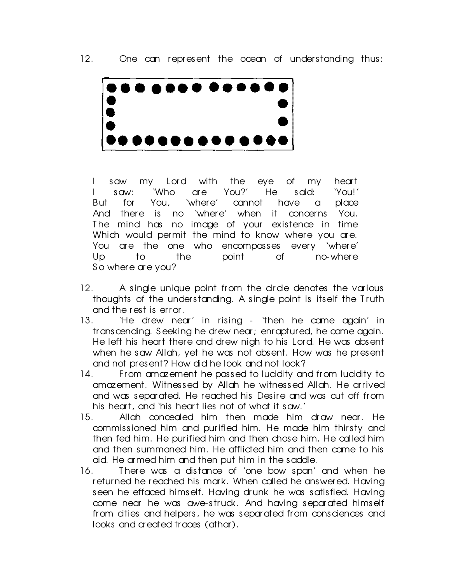

I saw my Lord with the eye of my heart I saw: 'Who are You?' He said: 'You!' But for You, 'where' cannot have a place And there is no 'where' when it concerns You. The mind has no image of your existence in time Which would permit the mind to know where you are. You are the one who encompasses every 'where' Up to the point of no-where So where are you?

- 12. A single unique point from the circle denotes the various thoughts of the understanding. A single point is itself the T ruth and the rest is error.
- 13. The drew near' in rising 'then he came again' in transcending. S eeking he drew near; enraptured, he came again. He left his heart there and drew nigh to his Lord. He was absent when he saw Allah, yet he was not absent. How was he present and not present? How did he look and not look?
- 14. From amazement he passed to lucidity and from lucidity to amazement. Witnessed by Allah he witnessed Allah. He arrived and was separated. He reached his Desire and was cut off from his heart, and 'his heart lies not of what it saw.'
- 15. Allah concealed him then made him draw near. He commissioned him and purified him. He made him thirsty and then fed him. He purified him and then chose him. He called him and then summoned him. He afflicted him and then came to his aid. He armed him and then put him in the saddle.
- 16. T here was a distance of 'one bow span' and when he returned he reached his mark. When called he answered. Having seen he effaced himself. Having drunk he was satisfied. Having come near he was awe-struck. And having separated himself from cities and helpers, he was separated from consciences and looks and created traces (athar).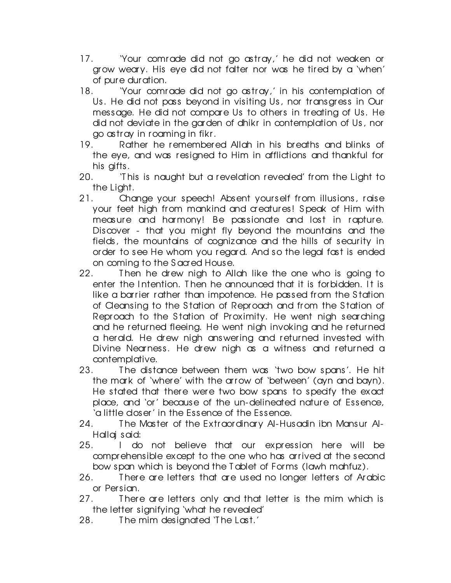- 17. 'Your comrade did not go astray,' he did not weaken or grow weary. His eye did not falter nor was he tired by a 'when' of pure duration.
- 18. 'Your comrade did not go astray,' in his contemplation of Us. He did not pass beyond in visiting Us, nor transgress in Our message. He did not compare Us to others in treating of Us. He did not deviate in the garden of dhikr in contemplation of Us, nor go astray in roaming in fikr.
- 19. Rather he remembered Allah in his breaths and blinks of the eye, and was resigned to Him in afflictions and thankful for his gifts.
- 20. 'T his is naught but a revelation revealed' from the Light to the Light.
- 21. Change your speech! Absent yourself from illusions, raise your feet high from mankind and creatures! S peak of Him with measure and harmony! Be passionate and lost in rapture. Discover - that you might fly beyond the mountains and the fields, the mountains of cognizance and the hills of security in order to see He whom you regard. And so the legal fast is ended on coming to the S acred House.
- 22. T hen he drew nigh to Allah like the one who is going to enter the Intention. Then he announced that it is forbidden. It is like a barrier rather than impotence. He passed from the S tation of Cleansing to the S tation of Reproach and from the S tation of Reproach to the Station of Proximity. He went nigh searching and he returned fleeing. He went nigh invoking and he returned a herald. He drew nigh answering and returned invested with Divine Nearness. He drew nigh as a witness and returned a contemplative.
- 23. T he distance between them was 'two bow spans'. He hit the mark of 'where' with the arrow of 'between' (ayn and bayn). He stated that there were two bow spans to specify the exact place, and 'or' because of the un-delineated nature of Essence, 'a little closer' in the Essence of the Essence.
- 24. T he Master of the Extraordinary Al-Husadin ibn Mansur Al-Hallaj said:
- 25. I do not believe that our expression here will be comprehensible except to the one who has arrived at the second bow span which is beyond the T ablet of Forms (lawh mahfuz).
- 26. T here are letters that are used no longer letters of Arabic or Persian.
- 27. T here are letters only and that letter is the mim which is the letter signifying 'what he revealed'
- 28. The mim designated 'The Last.'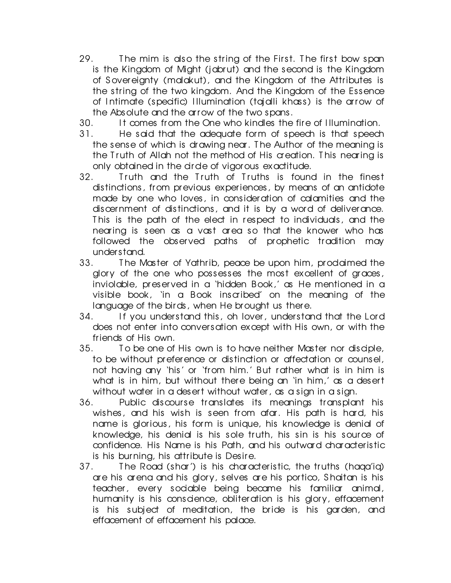- 29. The mim is also the string of the First. The first bow span is the Kingdom of Might (jabrut) and the second is the Kingdom of S overeignty (malakut), and the Kingdom of the Attributes is the string of the two kingdom. And the Kingdom of the Essence of I ntimate (specific) I llumination (tajalli khass) is the arrow of the Absolute and the arrow of the two spans.
- 30. I t comes from the One who kindles the fire of I llumination.
- 31. He said that the adequate form of speech is that speech the sense of which is drawing near. T he Author of the meaning is the T ruth of Allah not the method of His creation. This nearing is only obtained in the circle of vigorous exactitude.
- 32. Truth and the Truth of Truths is found in the finest distinctions, from previous experiences, by means of an antidote made by one who loves, in consideration of calamities and the discernment of distinctions, and it is by a word of deliverance. This is the path of the elect in respect to individuals, and the nearing is seen as a vast area so that the knower who has followed the observed paths of prophetic tradition may understand.
- 33. The Master of Yathrib, peace be upon him, prodaimed the glory of the one who possesses the most excellent of graces, inviolable, preserved in a 'hidden Book,' as He mentioned in a visible book, 'in a Book inscribed' on the meaning of the language of the birds, when He brought us there.
- 34. If you understand this, oh lover, understand that the Lord does not enter into conversation except with His own, or with the friends of His own.
- 35. T o be one of His own is to have neither Master nor disciple, to be without preference or distinction or affectation or counsel, not having any 'his' or 'from him.' But rather what is in him is what is in him, but without there being an 'in him,' as a desert without water in a desert without water, as a sign in a sign.
- 36. Public discourse translates its meanings transplant his wishes, and his wish is seen from afar. His path is hard, his name is glorious, his form is unique, his knowledge is denial of knowledge, his denial is his sole truth, his sin is his source of confidence. His Name is his Path, and his outward characteristic is his burning, his attribute is Desire.
- 37. T he Road (shar') is his characteristic, the truths (haqa'iq) are his arena and his glory, selves are his portico, S haitan is his teacher, every sociable being became his familiar animal, humanity is his conscience, obliteration is his glory, effacement is his subject of meditation, the bride is his garden, and effacement of effacement his palace.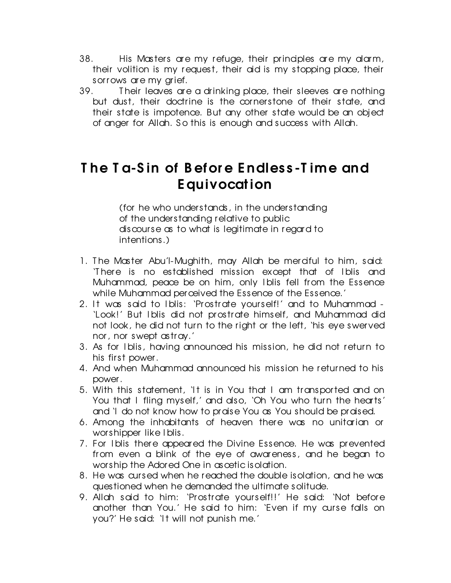- 38. His Masters are my refuge, their principles are my alarm, their volition is my request, their aid is my stopping place, their sorrows are my grief.
- 39. T heir leaves are a drinking place, their sleeves are nothing but dust, their doctrine is the cornerstone of their state, and their state is impotence. But any other state would be an object of anger for Allah. S o this is enough and success with Allah.

#### T he T a-S in of B efor e E ndles s -T ime and **Equivocation**

(for he who understands, in the understanding of the understanding relative to public discourse as to what is legitimate in regard to intentions.)

- 1. The Master Abu'l-Mughith, may Allah be meraiful to him, said: 'T here is no established mission except that of I blis and Muhammad, peace be on him, only I blis fell from the Essence while Muhammad perceived the Essence of the Essence.'
- 2. It was said to Iblis: 'Prostrate yourself!' and to Muhammad -'Look!' But I blis did not prostrate himself, and Muhammad did not look, he did not turn to the right or the left, 'his eye swerved nor, nor swept astray.'
- 3. As for I blis, having announced his mission, he did not return to his first power.
- 4. And when Muhammad announced his mission he returned to his power.
- 5. With this statement, 'I t is in You that I am transported and on You that I fling myself,' and also, 'Oh You who turn the hearts' and 'I do not know how to praise You as You should be praised.
- 6. Among the inhabitants of heaven there was no unitarian or worshipper like I blis.
- 7. For I blis there appeared the Divine Essence. He was prevented from even a blink of the eye of awareness, and he began to worship the Adored One in ascetic isolation.
- 8. He was cursed when he reached the double isolation, and he was questioned when he demanded the ultimate solitude.
- 9. Allah said to him: 'Prostrate yourself!!' He said: 'Not before another than You.' He said to him: 'Even if my curse falls on you?' He said: 'It will not punish me.'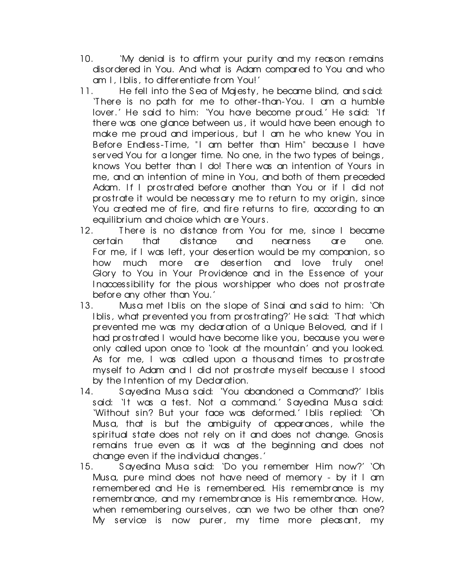- 10. Wy denial is to affirm your purity and my reason remains disordered in You. And what is Adam compared to You and who am I , I blis, to differentiate from You!'
- 11. He fell into the S ea of Majesty, he became blind, and said: 'T here is no path for me to other-than-You. I am a humble lover.' He said to him: 'You have become proud.' He said: 'If there was one glance between us, it would have been enough to make me proud and imperious, but I am he who knew You in Before Endless-Time, "I am better than Him" because I have served You for a longer time. No one, in the two types of beings, knows You better than I do! T here was an intention of Yours in me, and an intention of mine in You, and both of them preceded Adam. If I prostrated before another than You or if I did not prostrate it would be necessary me to return to my origin, since You created me of fire, and fire returns to fire, according to an equilibrium and choice which are Yours.
- 12. T here is no distance from You for me, since I became certain that distance and nearness are one. For me, if I was left, your desertion would be my companion, so how much more are desertion and love truly one! Glory to You in Your Providence and in the Essence of your Inaccessibility for the pious worshipper who does not prostrate before any other than You.'
- 13. Musa met I blis on the slope of Sinai and said to him: 'Oh I blis, what prevented you from prostrating?' He said: 'T hat which prevented me was my declaration of a Unique Beloved, and if I had prostrated I would have become like you, because you were only called upon once to 'look at the mountain' and you looked. As for me, I was called upon a thousand times to prostrate myself to Adam and I did not prostrate myself because I stood by the Intention of my Dedaration.
- 14. S ayedina Musa said: 'You abandoned a Command?' I blis said: 'It was a test. Not a command.' Sayedina Musa said: 'Without sin? But your face was deformed.' I blis replied: 'Oh Musa, that is but the ambiguity of appearances, while the spiritual state does not rely on it and does not change. Gnosis remains true even as it was at the beginning and does not change even if the individual changes.'
- 15. S ayedina Musa said: 'Do you remember Him now?' 'Oh Musa, pure mind does not have need of memory - by it I am remembered and He is remembered. His remembrance is my remembrance, and my remembrance is His remembrance. How, when remembering ourselves, can we two be other than one? My service is now purer, my time more pleasant, my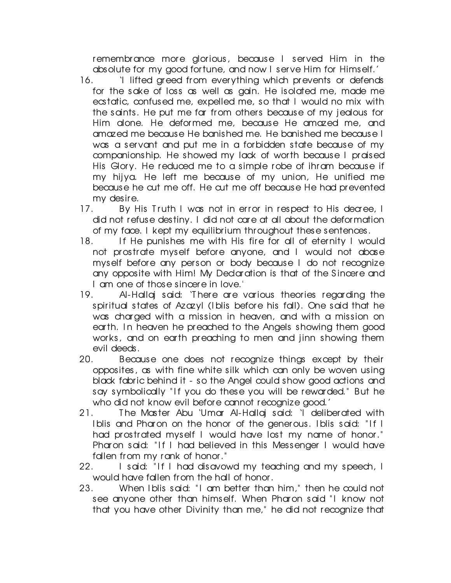remembrance more glorious, because I served Him in the absolute for my good fortune, and now I serve Him for Himself.'

- 16. <sup>I</sup> lifted greed from everything which prevents or defends for the sake of loss as well as gain. He isolated me, made me ecstatic, confused me, expelled me, so that I would no mix with the saints. He put me far from others because of my jealous for Him alone. He deformed me, because He amazed me, and amazed me because He banished me. He banished me because I was a servant and put me in a forbidden state because of my companionship. He showed my lack of worth because I praised His Glory. He reduced me to a simple robe of ihram because if my hijva. He left me because of my union, He unified me because he cut me off. He cut me off because He had prevented my desire.
- 17. By His Truth I was not in error in respect to His decree, I did not refuse destiny. I did not care at all about the deformation of my face. I kept my equilibrium throughout these sentences.
- 18. If He punishes me with His fire for all of eternity I would not prostrate myself before anyone, and I would not abase myself before any person or body because I do not recognize any opposite with Him! My Declaration is that of the S incere and I am one of those sincere in love.'
- 19. Al-Hallaj said: 'T here are various theories regarding the spiritual states of Azazyl (I blis before his fall). One said that he was charged with a mission in heaven, and with a mission on earth. In heaven he preached to the Angels showing them good works, and on earth preaching to men and jinn showing them evil deeds.
- 20. Because one does not recognize things except by their opposites, as with fine white silk which can only be woven using black fabric behind it - so the Angel could show good actions and say symbolically "If you do these you will be rewarded." But he who did not know evil before cannot recognize good.'
- 21. T he Master Abu 'Umar Al-Hallaj said: 'I deliberated with I blis and Pharon on the honor of the generous. I blis said: "If I had prostrated myself I would have lost my name of honor." Pharon said: "If I had believed in this Messenger I would have fallen from my rank of honor."
- 22. I said: "If I had disavowd my teaching and my speech, I would have fallen from the hall of honor.
- 23. When I blis said: "I am better than him," then he could not see anyone other than himself. When Pharon said "I know not that you have other Divinity than me," he did not recognize that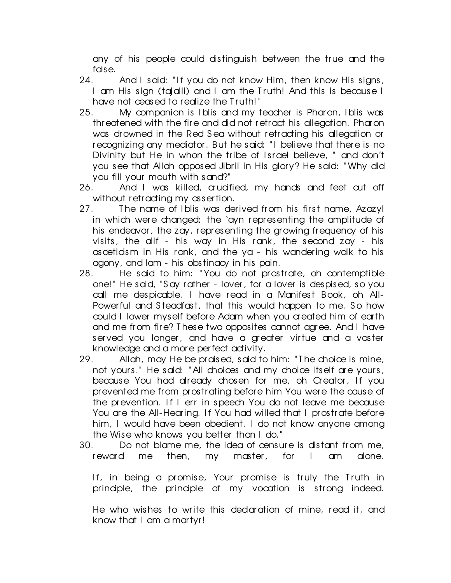any of his people could distinguish between the true and the false.

- 24. And I said: "If you do not know Him, then know His signs, I am His sign (tajalli) and I am the T ruth! And this is because I have not ceased to realize the T ruth!"
- 25. My companion is I blis and my teacher is Pharon, I blis was threatened with the fire and did not retract his allegation. Pharon was drowned in the Red S ea without retracting his allegation or recognizing any mediator. But he said: "I believe that there is no Divinity but He in whon the tribe of Israel believe, " and don't you see that Allah opposed Jibril in His glory? He said: "Why did you fill your mouth with sand?"
- 26. And I was killed, crucified, my hands and feet cut off without retracting my assertion.
- 27. The name of I blis was derived from his first name, Azazyl in which were changed: the 'ayn representing the amplitude of his endeavor, the zay, representing the growing frequency of his visits, the alif - his way in His rank, the second zay - his asceticism in His rank, and the ya - his wandering walk to his agony, and lam - his obstinacy in his pain.
- 28. He said to him: " You do not prostrate, oh contemptible one!" He said, " S ay rather - lover, for a lover is despised, so you call me despicable. I have read in a Manifest Book, oh All-Powerful and Steadfast, that this would happen to me. So how could I lower myself before Adam when you created him of earth and me from fire? T hese two opposites cannot agree. And I have served you longer, and have a greater virtue and a vaster knowledge and a more perfect activity.
- 29. Allah, may He be praised, said to him: " T he choice is mine, not yours." He said: " All choices and my choice itself are yours, because You had already chosen for me, oh Creator, If you prevented me from prostrating before him You were the cause of the prevention. If I err in speech You do not leave me because You are the All-Hearing. If You had willed that I prostrate before him, I would have been obedient. I do not know anyone among the Wise who knows you better than I do."
- 30. Do not blame me, the idea of censure is distant from me, reward me then, my master, for I am alone.

If, in being a promise, Your promise is truly the Truth in principle, the principle of my vocation is strong indeed.

He who wishes to write this declaration of mine, read it, and know that I am a martyr!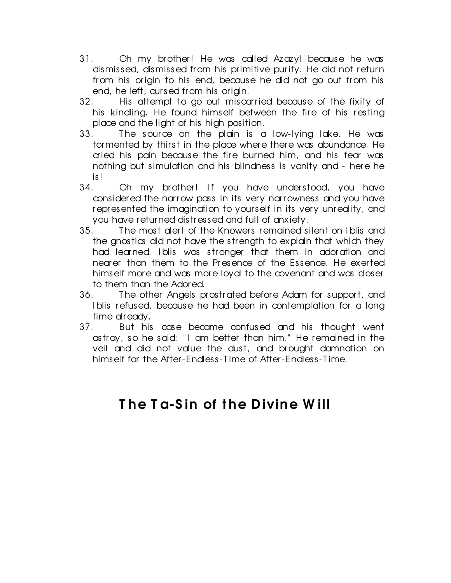- 31. Oh my brother! He was called Azazyl because he was dismissed, dismissed from his primitive purity. He did not return from his origin to his end, because he did not go out from his end, he left, cursed from his origin.
- 32. His attempt to go out miscarried because of the fixity of his kindling. He found himself between the fire of his resting place and the light of his high position.
- 33. The source on the plain is a low-lying lake. He was tormented by thirst in the place where there was abundance. He cried his pain because the fire burned him, and his fear was nothing but simulation and his blindness is vanity and - here he is!
- 34. Oh my brother! If you have understood, you have considered the narrow pass in its very narrowness and you have represented the imagination to yourself in its very unreality, and you have returned distressed and full of anxiety.
- 35. T he most alert of the Knowers remained silent on I blis and the gnostics did not have the strength to explain that which they had learned. I blis was stronger that them in adoration and nearer than them to the Presence of the Essence. He exerted himself more and was more loval to the covenant and was doser to them than the Adored.
- 36. T he other Angels prostrated before Adam for support, and I blis refused, because he had been in contemplation for a long time already.
- 37. But his case became confused and his thought went astray, so he said: "I am better than him." He remained in the veil and did not value the dust, and brought damnation on himself for the After-Endless- T ime of After-Endless- T ime.

# The Ta-Sin of the Divine Will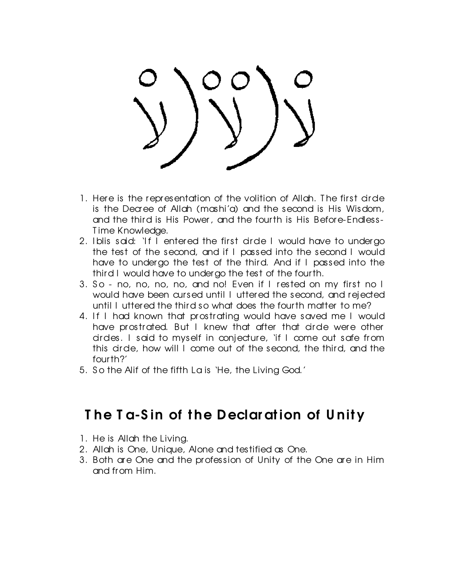- 1. Here is the representation of the volition of Allah. The first circle is the Decree of Allah (mashi'a) and the second is His Wisdom, and the third is His Power, and the fourth is His Before-Endless-T ime Knowledge.
- 2. I blis said: 'If I entered the first circle I would have to undergo the test of the second, and if I passed into the second I would have to undergo the test of the third. And if I passed into the third I would have to undergo the test of the fourth.
- 3. S o no, no, no, no, and no! Even if I rested on my first no I would have been cursed until I uttered the second, and rejected until I uttered the third so what does the fourth matter to me?
- 4. If I had known that prostrating would have saved me I would have prostrated. But I knew that after that circle were other circles. I said to myself in conjecture, 'if I come out safe from this circle, how will I come out of the second, the third, and the fourth?'
- 5. So the Alif of the fifth La is 'He, the Living God.'

#### The Ta-Sin of the Declaration of Unity

- 1. He is Allah the Living.
- 2. Allah is One, Unique, Alone and testified as One.
- 3. Both are One and the profession of Unity of the One are in Him and from Him.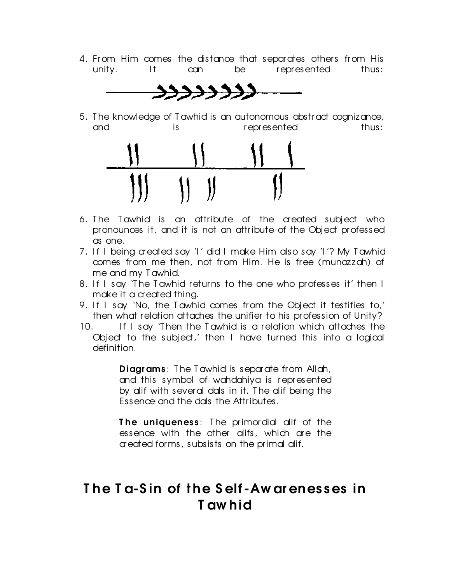4. From Him comes the distance that separates others from His unity. It can be represented thus:



5. T he knowledge of T awhid is an autonomous abstract cognizance, and is is represented thus:



- 6. T he T awhid is an attribute of the created subject who pronounces it, and it is not an attribute of the Object professed as one.
- 7. If I being created say 'I' did I make Him also say 'I'? My Tawhid comes from me then, not from Him. He is free (munazzah) of me and my T awhid.
- 8. If I say 'The Tawhid returns to the one who professes it' then I make it a created thing.
- 9. If I say 'No, the Tawhid comes from the Object it testifies to,' then what relation attaches the unifier to his profession of Unity?
- 10. If I say 'Then the Tawhid is a relation which attaches the Object to the subject,' then I have turned this into a logical definition.

**Diagrams:** The Tawhid is separate from Allah, and this symbol of wahdahiya is represented by alif with several dals in it. T he alif being the Essence and the dals the Attributes.

The uniqueness: The primordial alif of the essence with the other alifs, which are the created forms, subsists on the primal alif.

#### The Ta-Sin of the Self-Awarenesses in T aw hid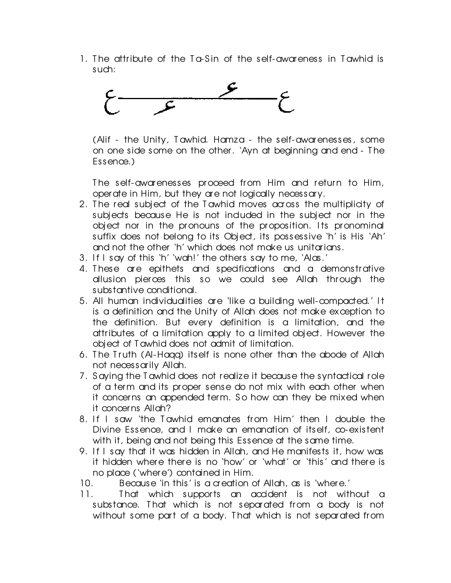1. T he attribute of the T a-S in of the self-awareness in T awhid is such:



(Alif - the Unity, T awhid. Hamza - the self-awarenesses, some on one side some on the other. 'Ayn at beginning and end - T he Essence.)

The self-awarenesses proceed from Him and return to Him, operate in Him, but they are not logically necessary.

- 2. The real subject of the Tawhid moves across the multiplicity of subjects because He is not induded in the subject nor in the object nor in the pronouns of the proposition. Its pronominal suffix does not belong to its Object, its possessive 'h' is His 'Ah' and not the other 'h' which does not make us unitarians.
- 3. I f I say of this 'h' 'wah!' the others say to me, 'Alas.'
- 4. These are epithets and specifications and a demonstrative allusion pierces this so we could see Allah through the substantive conditional.
- 5. All human individualities are 'like a building well-compacted.' It is a definition and the Unity of Allah does not make exception to the definition. But every definition is a limitation, and the attributes of a limitation apply to a limited object. However the object of T awhid does not admit of limitation.
- 6. T he T ruth (Al-Haqq) itself is none other than the abode of Allah not necessarily Allah.
- 7. S aying the T awhid does not realize it because the syntactical role of a term and its proper sense do not mix with each other when it concerns an appended term. So how can they be mixed when it concerns Allah?
- 8. If I saw 'the Tawhid emanates from Him' then I double the Divine Essence, and I make an emanation of itself, co-existent with it, being and not being this Essence at the same time.
- 9. If I say that it was hidden in Allah, and He manifests it, how was it hidden where there is no 'how' or 'what' or 'this' and there is no place ('where') contained in Him.
- 10. Because 'in this' is a creation of Allah, as is 'where.'
- 11. That which supports an accident is not without a substance. That which is not separated from a body is not without some part of a body. That which is not separated from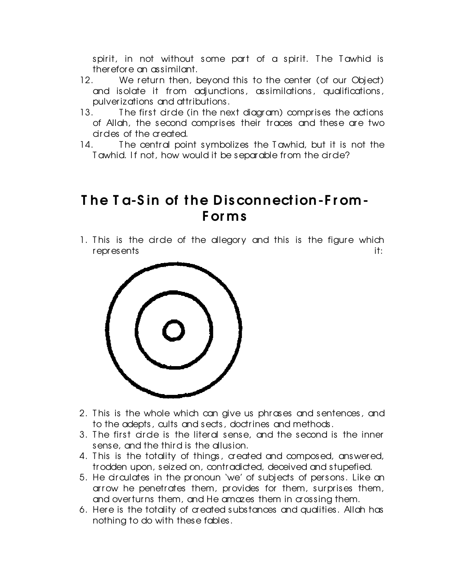spirit, in not without some part of a spirit. The Tawhid is therefore an assimilant.

- 12. We return then, beyond this to the center (of our Object) and isolate it from adjunctions, assimilations, qualifications, pulverizations and attributions.
- 13. The first circle (in the next diagram) comprises the actions of Allah, the second comprises their traces and these are two circles of the created.
- 14. The central point symbolizes the Tawhid, but it is not the Tawhid. If not, how would it be separable from the circle?

#### The Ta-Sin of the Disconnection-From-F or ms

1. This is the circle of the allegory and this is the figure which represents it:



- 2. This is the whole which can give us phrases and sentences, and to the adepts, cults and sects, doctrines and methods.
- 3. The first circle is the literal sense, and the second is the inner sense, and the third is the allusion.
- 4. This is the totality of things, created and composed, answered, trodden upon, seized on, contradicted, deceived and stupefied.
- 5. He circulates in the pronoun 'we' of subjects of persons. Like an arrow he penetrates them, provides for them, surprises them, and overturns them, and He amazes them in crossing them.
- 6. Here is the totality of created substances and qualities. Allah has nothing to do with these fables.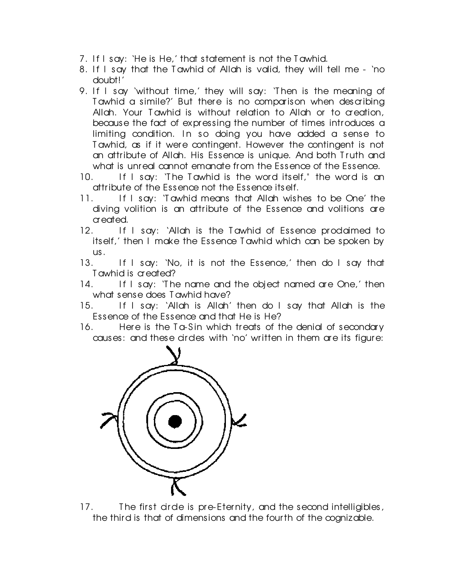- 7. If I say: 'He is He,' that statement is not the T awhid.
- 8. If I say that the T awhid of Allah is valid, they will tell me 'no doubt!'
- 9. If I say 'without time,' they will say: 'Then is the meaning of T awhid a simile?' But there is no comparison when describing Allah. Your Tawhid is without relation to Allah or to creation, because the fact of expressing the number of times introduces a limiting condition. In so doing you have added a sense to T awhid, as if it were contingent. However the contingent is not an attribute of Allah. His Essence is unique. And both T ruth and what is unreal cannot emanate from the Essence of the Essence.
- 10. If I say: 'The Tawhid is the word itself," the word is an attribute of the Essence not the Essence itself.
- 11. If I say: 'T awhid means that Allah wishes to be One' the diving volition is an attribute of the Essence and volitions are created.
- 12. If I say: `Allah is the Tawhid of Essence prodaimed to itself,' then I make the Essence T awhid which can be spoken by us.
- 13. If I say: 'No, it is not the Essence,' then do I say that T awhid is created?
- 14. If I say: 'The name and the object named are One,' then what sense does T awhid have?
- 15. If I say: `Allah is Allah' then do I say that Allah is the Essence of the Essence and that He is He?
- 16. Here is the Ta-Sin which treats of the denial of secondary causes: and these circles with 'no' written in them are its figure:



17. The first circle is pre-Eternity, and the second intelligibles, the third is that of dimensions and the fourth of the cognizable.